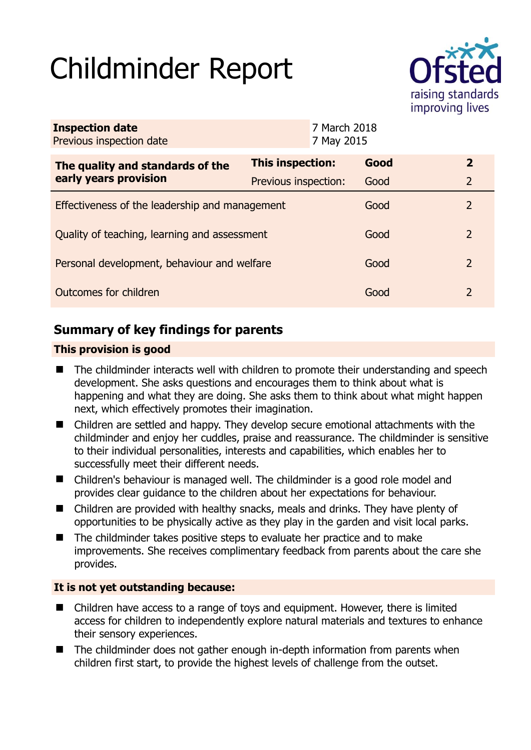# Childminder Report



| <b>Inspection date</b><br>Previous inspection date        |                      | 7 March 2018<br>7 May 2015 |      |               |
|-----------------------------------------------------------|----------------------|----------------------------|------|---------------|
| The quality and standards of the<br>early years provision | This inspection:     |                            | Good | $\mathbf{2}$  |
|                                                           | Previous inspection: |                            | Good | 2             |
| Effectiveness of the leadership and management            |                      |                            | Good | 2             |
| Quality of teaching, learning and assessment              |                      |                            | Good | $\mathcal{L}$ |
| Personal development, behaviour and welfare               |                      |                            | Good | 2             |
| Outcomes for children                                     |                      |                            | Good | 2             |

## **Summary of key findings for parents**

## **This provision is good**

- The childminder interacts well with children to promote their understanding and speech development. She asks questions and encourages them to think about what is happening and what they are doing. She asks them to think about what might happen next, which effectively promotes their imagination.
- Children are settled and happy. They develop secure emotional attachments with the childminder and enjoy her cuddles, praise and reassurance. The childminder is sensitive to their individual personalities, interests and capabilities, which enables her to successfully meet their different needs.
- Children's behaviour is managed well. The childminder is a good role model and provides clear guidance to the children about her expectations for behaviour.
- Children are provided with healthy snacks, meals and drinks. They have plenty of opportunities to be physically active as they play in the garden and visit local parks.
- The childminder takes positive steps to evaluate her practice and to make improvements. She receives complimentary feedback from parents about the care she provides.

## **It is not yet outstanding because:**

- Children have access to a range of toys and equipment. However, there is limited access for children to independently explore natural materials and textures to enhance their sensory experiences.
- The childminder does not gather enough in-depth information from parents when children first start, to provide the highest levels of challenge from the outset.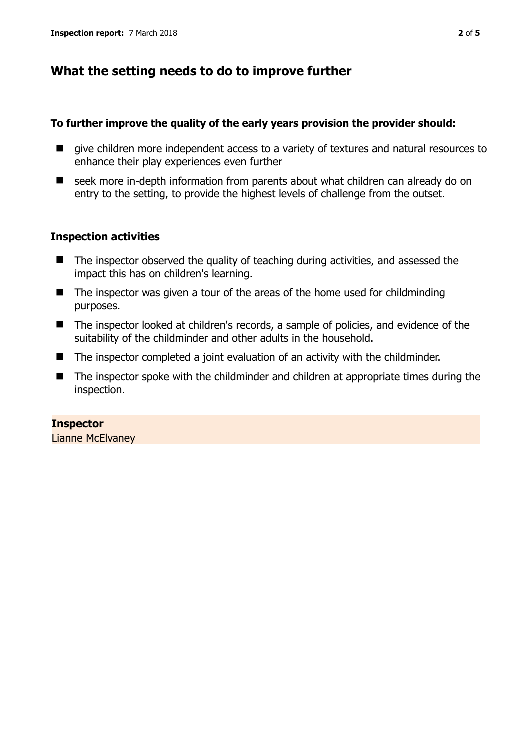## **What the setting needs to do to improve further**

#### **To further improve the quality of the early years provision the provider should:**

- give children more independent access to a variety of textures and natural resources to enhance their play experiences even further
- seek more in-depth information from parents about what children can already do on entry to the setting, to provide the highest levels of challenge from the outset.

### **Inspection activities**

- The inspector observed the quality of teaching during activities, and assessed the impact this has on children's learning.
- The inspector was given a tour of the areas of the home used for childminding purposes.
- The inspector looked at children's records, a sample of policies, and evidence of the suitability of the childminder and other adults in the household.
- The inspector completed a joint evaluation of an activity with the childminder.
- The inspector spoke with the childminder and children at appropriate times during the inspection.

**Inspector**  Lianne McElvaney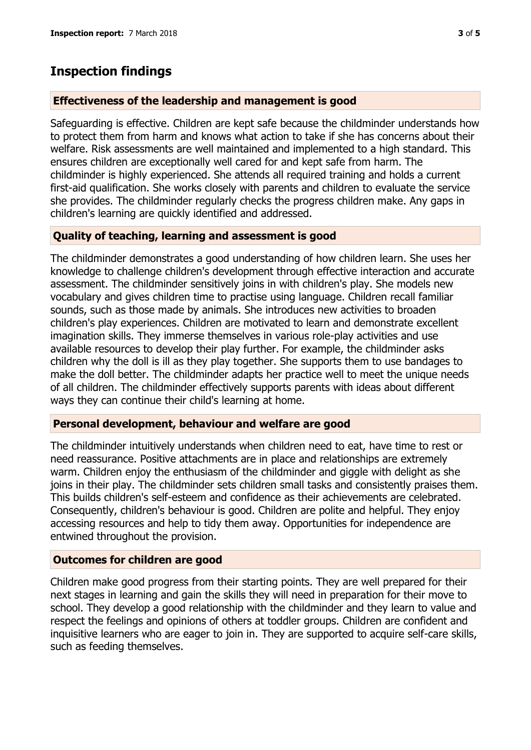## **Inspection findings**

#### **Effectiveness of the leadership and management is good**

Safeguarding is effective. Children are kept safe because the childminder understands how to protect them from harm and knows what action to take if she has concerns about their welfare. Risk assessments are well maintained and implemented to a high standard. This ensures children are exceptionally well cared for and kept safe from harm. The childminder is highly experienced. She attends all required training and holds a current first-aid qualification. She works closely with parents and children to evaluate the service she provides. The childminder regularly checks the progress children make. Any gaps in children's learning are quickly identified and addressed.

## **Quality of teaching, learning and assessment is good**

The childminder demonstrates a good understanding of how children learn. She uses her knowledge to challenge children's development through effective interaction and accurate assessment. The childminder sensitively joins in with children's play. She models new vocabulary and gives children time to practise using language. Children recall familiar sounds, such as those made by animals. She introduces new activities to broaden children's play experiences. Children are motivated to learn and demonstrate excellent imagination skills. They immerse themselves in various role-play activities and use available resources to develop their play further. For example, the childminder asks children why the doll is ill as they play together. She supports them to use bandages to make the doll better. The childminder adapts her practice well to meet the unique needs of all children. The childminder effectively supports parents with ideas about different ways they can continue their child's learning at home.

## **Personal development, behaviour and welfare are good**

The childminder intuitively understands when children need to eat, have time to rest or need reassurance. Positive attachments are in place and relationships are extremely warm. Children enjoy the enthusiasm of the childminder and giggle with delight as she joins in their play. The childminder sets children small tasks and consistently praises them. This builds children's self-esteem and confidence as their achievements are celebrated. Consequently, children's behaviour is good. Children are polite and helpful. They enjoy accessing resources and help to tidy them away. Opportunities for independence are entwined throughout the provision.

#### **Outcomes for children are good**

Children make good progress from their starting points. They are well prepared for their next stages in learning and gain the skills they will need in preparation for their move to school. They develop a good relationship with the childminder and they learn to value and respect the feelings and opinions of others at toddler groups. Children are confident and inquisitive learners who are eager to join in. They are supported to acquire self-care skills, such as feeding themselves.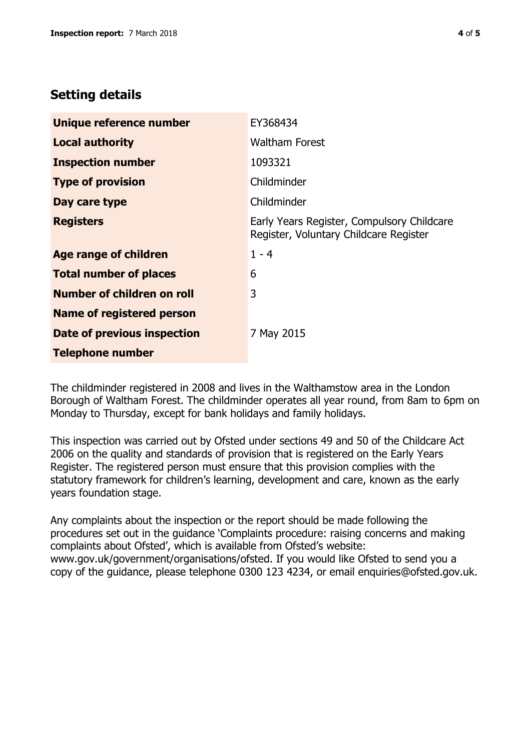## **Setting details**

| Unique reference number          | EY368434                                                                             |  |
|----------------------------------|--------------------------------------------------------------------------------------|--|
| <b>Local authority</b>           | <b>Waltham Forest</b>                                                                |  |
| <b>Inspection number</b>         | 1093321                                                                              |  |
| <b>Type of provision</b>         | Childminder                                                                          |  |
| Day care type                    | Childminder                                                                          |  |
| <b>Registers</b>                 | Early Years Register, Compulsory Childcare<br>Register, Voluntary Childcare Register |  |
| Age range of children            | $1 - 4$                                                                              |  |
| <b>Total number of places</b>    | 6                                                                                    |  |
| Number of children on roll       | 3                                                                                    |  |
| <b>Name of registered person</b> |                                                                                      |  |
| Date of previous inspection      | 7 May 2015                                                                           |  |
| <b>Telephone number</b>          |                                                                                      |  |

The childminder registered in 2008 and lives in the Walthamstow area in the London Borough of Waltham Forest. The childminder operates all year round, from 8am to 6pm on Monday to Thursday, except for bank holidays and family holidays.

This inspection was carried out by Ofsted under sections 49 and 50 of the Childcare Act 2006 on the quality and standards of provision that is registered on the Early Years Register. The registered person must ensure that this provision complies with the statutory framework for children's learning, development and care, known as the early years foundation stage.

Any complaints about the inspection or the report should be made following the procedures set out in the guidance 'Complaints procedure: raising concerns and making complaints about Ofsted', which is available from Ofsted's website: www.gov.uk/government/organisations/ofsted. If you would like Ofsted to send you a copy of the guidance, please telephone 0300 123 4234, or email enquiries@ofsted.gov.uk.